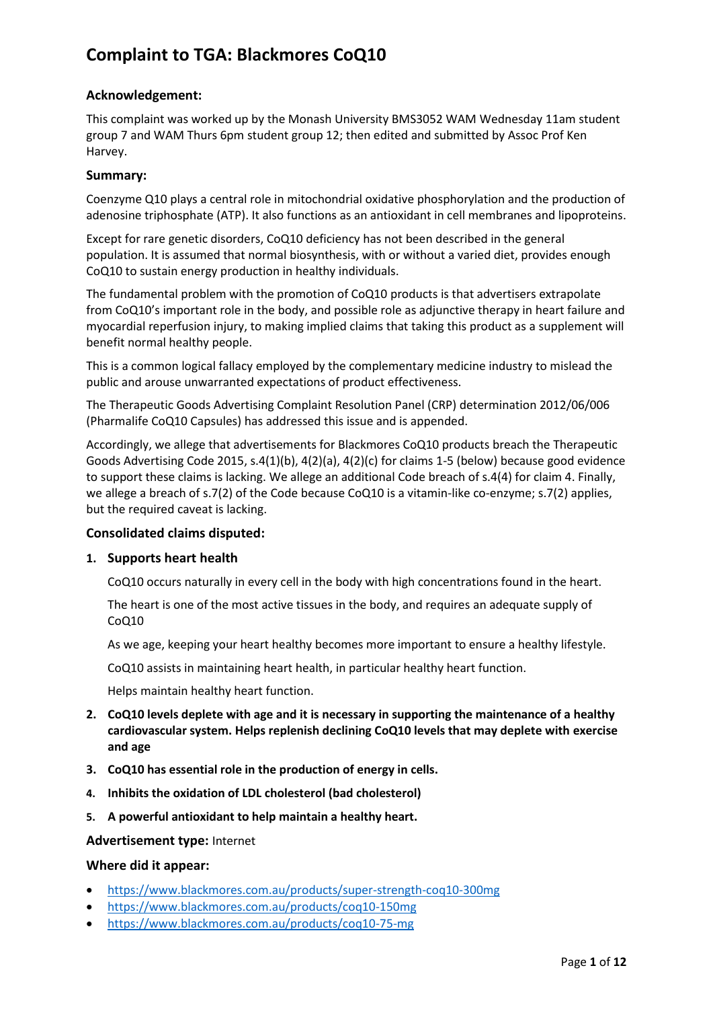### **Acknowledgement:**

This complaint was worked up by the Monash University BMS3052 WAM Wednesday 11am student group 7 and WAM Thurs 6pm student group 12; then edited and submitted by Assoc Prof Ken Harvey.

#### **Summary:**

Coenzyme Q10 plays a central role in mitochondrial oxidative phosphorylation and the production of adenosine triphosphate (ATP). It also functions as an antioxidant in cell membranes and lipoproteins.

Except for rare genetic disorders, CoQ10 deficiency has not been described in the general population. It is assumed that normal [biosynthesis,](https://lpi.oregonstate.edu/mic/glossary#synthesis) with or without a varied diet, provides enough CoQ10 to sustain energy production in healthy individuals.

The fundamental problem with the promotion of CoQ10 products is that advertisers extrapolate from CoQ10's important role in the body, and possible role as adjunctive therapy in heart failure and myocardial reperfusion injury, to making implied claims that taking this product as a supplement will benefit normal healthy people.

This is a common logical fallacy employed by the complementary medicine industry to mislead the public and arouse unwarranted expectations of product effectiveness.

The Therapeutic Goods Advertising Complaint Resolution Panel (CRP) determination 2012/06/006 (Pharmalife CoQ10 Capsules) has addressed this issue and is appended.

Accordingly, we allege that advertisements for Blackmores CoQ10 products breach the Therapeutic Goods Advertising Code 2015, s.4(1)(b), 4(2)(a), 4(2)(c) for claims 1-5 (below) because good evidence to support these claims is lacking. We allege an additional Code breach of s.4(4) for claim 4. Finally, we allege a breach of s.7(2) of the Code because CoQ10 is a vitamin-like co-enzyme; s.7(2) applies, but the required caveat is lacking.

### **Consolidated claims disputed:**

#### **1. Supports heart health**

CoQ10 occurs naturally in every cell in the body with high concentrations found in the heart.

The heart is one of the most active tissues in the body, and requires an adequate supply of CoQ10

As we age, keeping your heart healthy becomes more important to ensure a healthy lifestyle.

CoQ10 assists in maintaining heart health, in particular healthy heart function.

Helps maintain healthy heart function.

- **2. CoQ10 levels deplete with age and it is necessary in supporting the maintenance of a healthy cardiovascular system. Helps replenish declining CoQ10 levels that may deplete with exercise and age**
- **3. CoQ10 has essential role in the production of energy in cells.**
- **4. Inhibits the oxidation of LDL cholesterol (bad cholesterol)**
- **5. A powerful antioxidant to help maintain a healthy heart.**

#### **Advertisement type:** Internet

#### **Where did it appear:**

- <https://www.blackmores.com.au/products/super-strength-coq10-300mg>
- <https://www.blackmores.com.au/products/coq10-150mg>
- <https://www.blackmores.com.au/products/coq10-75-mg>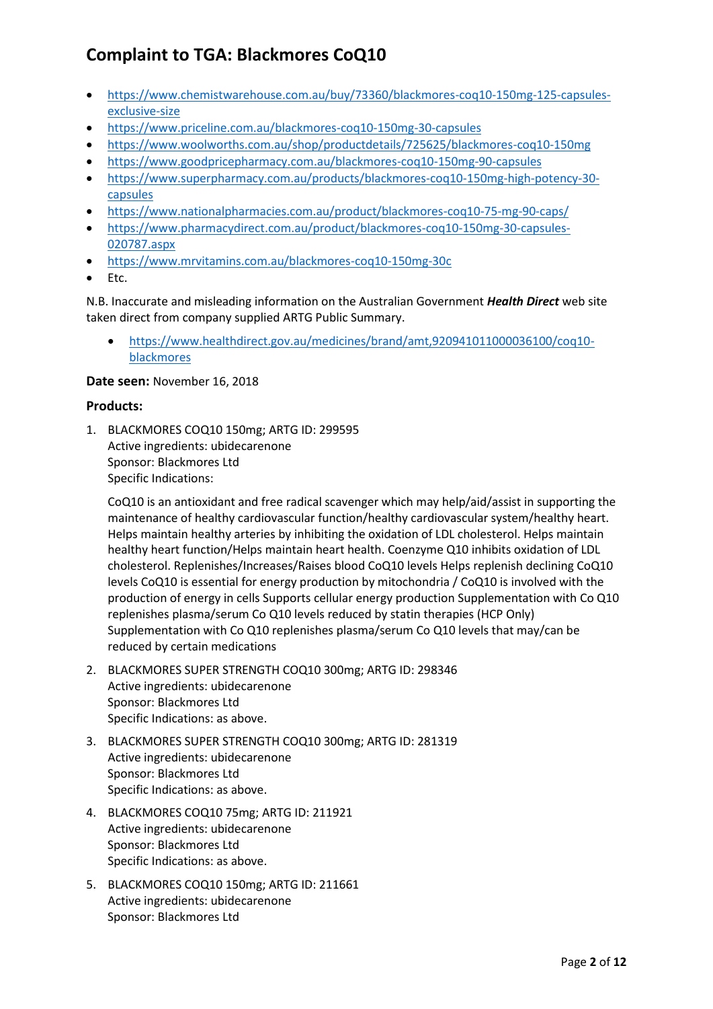- [https://www.chemistwarehouse.com.au/buy/73360/blackmores-coq10-150mg-125-capsules](https://www.chemistwarehouse.com.au/buy/73360/blackmores-coq10-150mg-125-capsules-exclusive-size)[exclusive-size](https://www.chemistwarehouse.com.au/buy/73360/blackmores-coq10-150mg-125-capsules-exclusive-size)
- <https://www.priceline.com.au/blackmores-coq10-150mg-30-capsules>
- <https://www.woolworths.com.au/shop/productdetails/725625/blackmores-coq10-150mg>
- <https://www.goodpricepharmacy.com.au/blackmores-coq10-150mg-90-capsules>
- [https://www.superpharmacy.com.au/products/blackmores-coq10-150mg-high-potency-30](https://www.superpharmacy.com.au/products/blackmores-coq10-150mg-high-potency-30-capsules) [capsules](https://www.superpharmacy.com.au/products/blackmores-coq10-150mg-high-potency-30-capsules)
- <https://www.nationalpharmacies.com.au/product/blackmores-coq10-75-mg-90-caps/>
- [https://www.pharmacydirect.com.au/product/blackmores-coq10-150mg-30-capsules-](https://www.pharmacydirect.com.au/product/blackmores-coq10-150mg-30-capsules-020787.aspx)[020787.aspx](https://www.pharmacydirect.com.au/product/blackmores-coq10-150mg-30-capsules-020787.aspx)
- <https://www.mrvitamins.com.au/blackmores-coq10-150mg-30c>
- Etc.

N.B. Inaccurate and misleading information on the Australian Government *Health Direct* web site taken direct from company supplied ARTG Public Summary.

• [https://www.healthdirect.gov.au/medicines/brand/amt,920941011000036100/coq10](https://www.healthdirect.gov.au/medicines/brand/amt,920941011000036100/coq10-blackmores) [blackmores](https://www.healthdirect.gov.au/medicines/brand/amt,920941011000036100/coq10-blackmores)

#### **Date seen:** November 16, 2018

#### **Products:**

1. BLACKMORES COQ10 150mg; ARTG ID: 299595 Active ingredients: ubidecarenone Sponsor: Blackmores Ltd Specific Indications:

CoQ10 is an antioxidant and free radical scavenger which may help/aid/assist in supporting the maintenance of healthy cardiovascular function/healthy cardiovascular system/healthy heart. Helps maintain healthy arteries by inhibiting the oxidation of LDL cholesterol. Helps maintain healthy heart function/Helps maintain heart health. Coenzyme Q10 inhibits oxidation of LDL cholesterol. Replenishes/Increases/Raises blood CoQ10 levels Helps replenish declining CoQ10 levels CoQ10 is essential for energy production by mitochondria / CoQ10 is involved with the production of energy in cells Supports cellular energy production Supplementation with Co Q10 replenishes plasma/serum Co Q10 levels reduced by statin therapies (HCP Only) Supplementation with Co Q10 replenishes plasma/serum Co Q10 levels that may/can be reduced by certain medications

- 2. BLACKMORES SUPER STRENGTH COQ10 300mg; ARTG ID: 298346 Active ingredients: ubidecarenone Sponsor: Blackmores Ltd Specific Indications: as above.
- 3. BLACKMORES SUPER STRENGTH COQ10 300mg; ARTG ID: 281319 Active ingredients: ubidecarenone Sponsor: Blackmores Ltd Specific Indications: as above.
- 4. BLACKMORES COQ10 75mg; ARTG ID: 211921 Active ingredients: ubidecarenone Sponsor: Blackmores Ltd Specific Indications: as above.
- 5. BLACKMORES COQ10 150mg; ARTG ID: 211661 Active ingredients: ubidecarenone Sponsor: Blackmores Ltd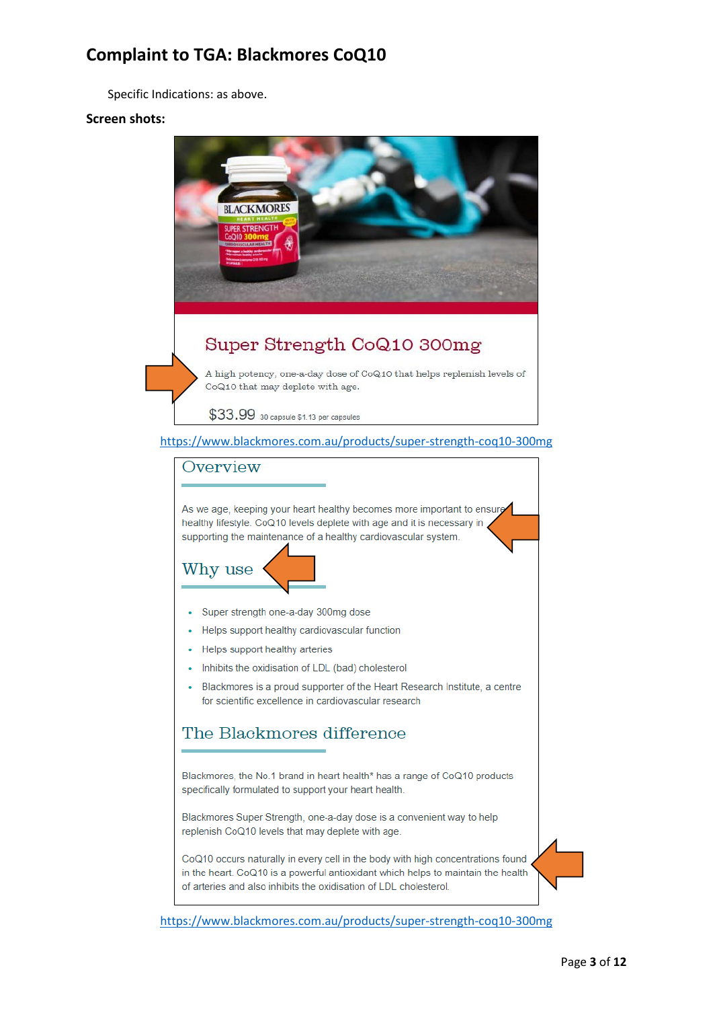Specific Indications: as above.

#### **Screen shots:**



<https://www.blackmores.com.au/products/super-strength-coq10-300mg>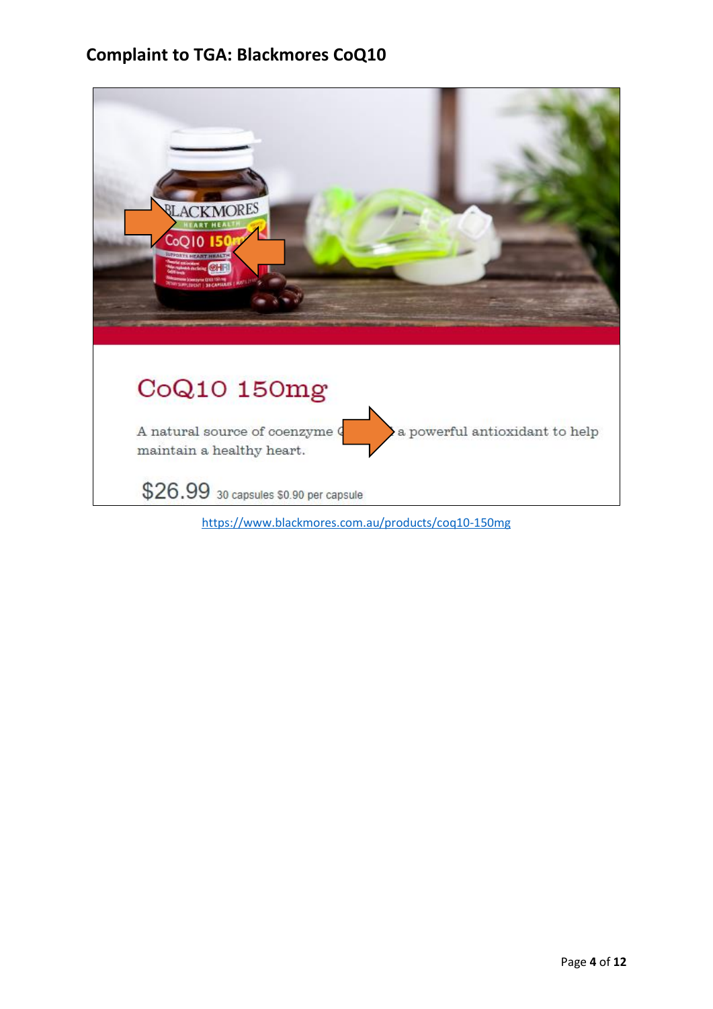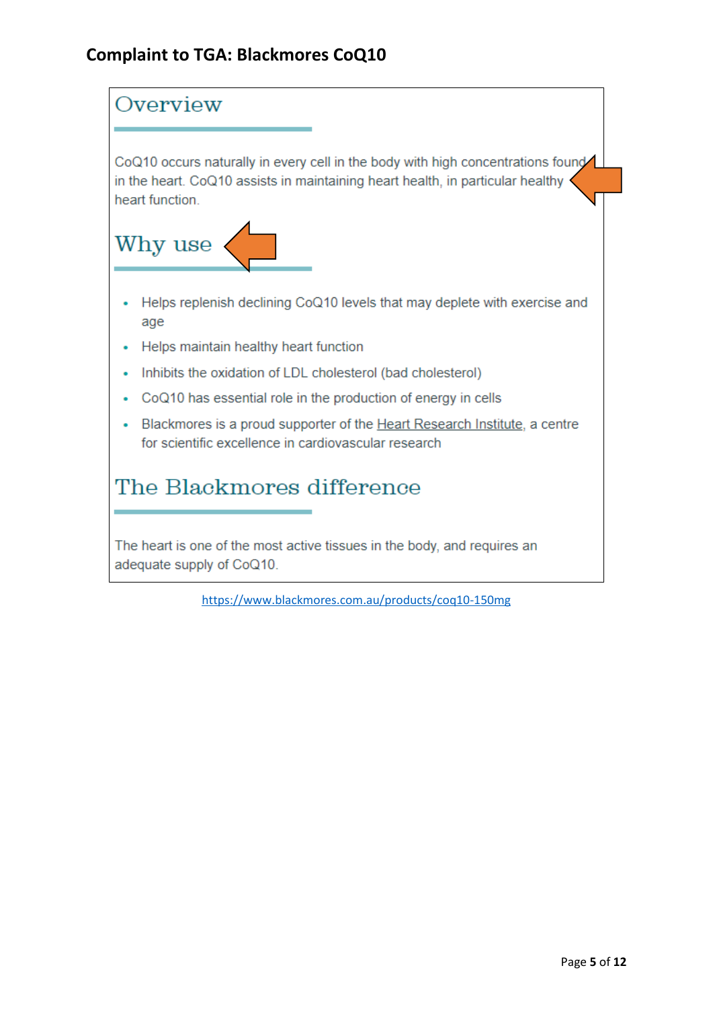

<https://www.blackmores.com.au/products/coq10-150mg>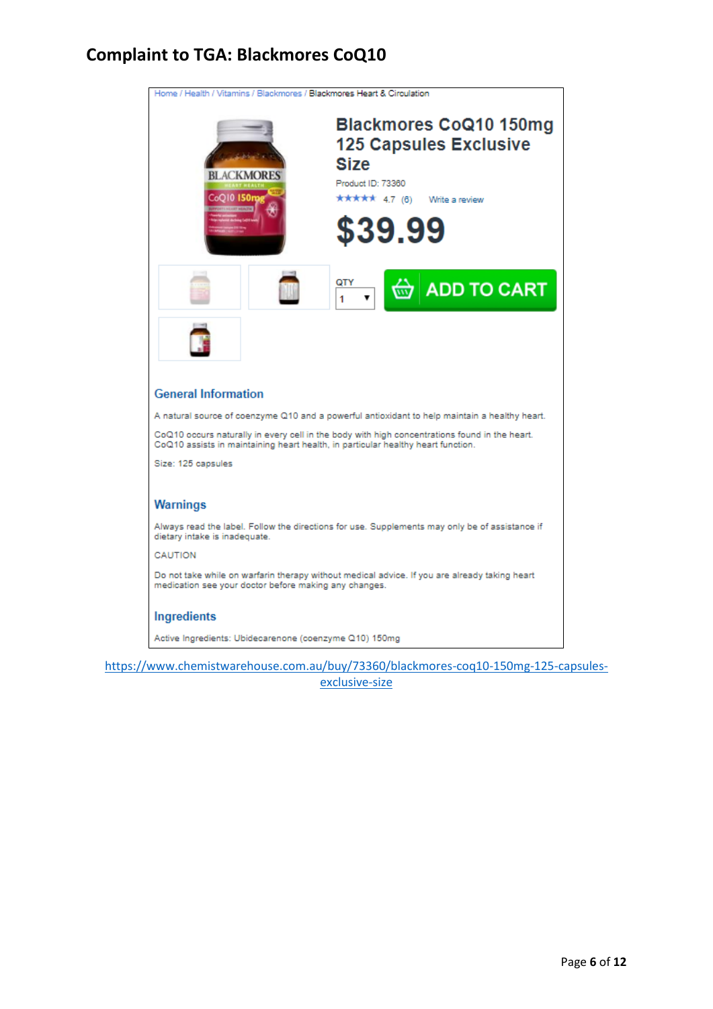| Home / Health / Vitamins / Blackmores / Blackmores Heart & Circulation                                                                                                             |
|------------------------------------------------------------------------------------------------------------------------------------------------------------------------------------|
| <b>Blackmores CoQ10 150mg</b><br><b>125 Capsules Exclusive</b><br><b>Size</b><br><b>BLACKMORES</b><br>Product ID: 73360<br>CoO10 150<br>★★★★★ 4.7 (6)<br>Write a review<br>\$39.99 |
| QTY<br><b>ADD TO CART</b><br>1                                                                                                                                                     |
|                                                                                                                                                                                    |
| <b>General Information</b>                                                                                                                                                         |
| A natural source of coenzyme Q10 and a powerful antioxidant to help maintain a healthy heart.                                                                                      |
| CoQ10 occurs naturally in every cell in the body with high concentrations found in the heart.<br>CoQ10 assists in maintaining heart health, in particular healthy heart function.  |
| Size: 125 capsules                                                                                                                                                                 |
| <b>Warnings</b>                                                                                                                                                                    |
| Always read the label. Follow the directions for use. Supplements may only be of assistance if<br>dietary intake is inadequate.                                                    |
| CAUTION                                                                                                                                                                            |
| Do not take while on warfarin therapy without medical advice. If you are already taking heart<br>medication see your doctor before making any changes.                             |
| Ingredients                                                                                                                                                                        |
| Active Ingredients: Ubidecarenone (coenzyme Q10) 150mg                                                                                                                             |

[https://www.chemistwarehouse.com.au/buy/73360/blackmores-coq10-150mg-125-capsules](https://www.chemistwarehouse.com.au/buy/73360/blackmores-coq10-150mg-125-capsules-exclusive-size)[exclusive-size](https://www.chemistwarehouse.com.au/buy/73360/blackmores-coq10-150mg-125-capsules-exclusive-size)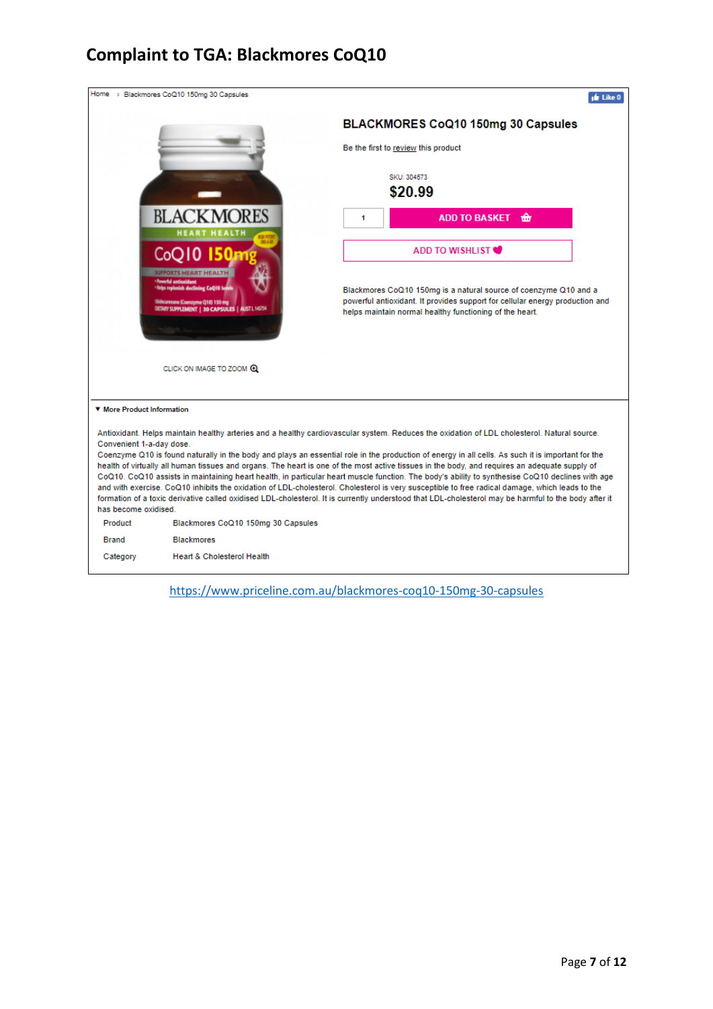

<https://www.priceline.com.au/blackmores-coq10-150mg-30-capsules>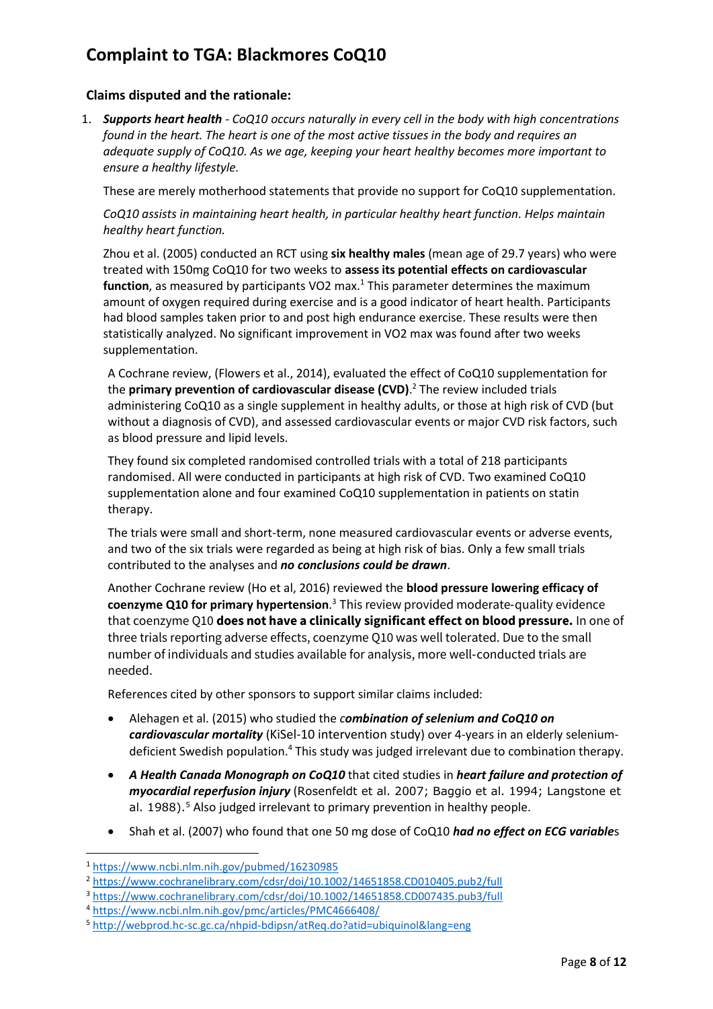### **Claims disputed and the rationale:**

1. *Supports heart health - CoQ10 occurs naturally in every cell in the body with high concentrations found in the heart. The heart is one of the most active tissues in the body and requires an adequate supply of CoQ10. As we age, keeping your heart healthy becomes more important to ensure a healthy lifestyle.*

These are merely motherhood statements that provide no support for CoQ10 supplementation.

*CoQ10 assists in maintaining heart health, in particular healthy heart function. Helps maintain healthy heart function.*

Zhou et al. (2005) conducted an RCT using **six healthy males** (mean age of 29.7 years) who were treated with 150mg CoQ10 for two weeks to **assess its potential effects on cardiovascular function**, as measured by participants VO2 max.<sup>1</sup> This parameter determines the maximum amount of oxygen required during exercise and is a good indicator of heart health. Participants had blood samples taken prior to and post high endurance exercise. These results were then statistically analyzed. No significant improvement in VO2 max was found after two weeks supplementation.

A Cochrane review, (Flowers et al., 2014), evaluated the effect of CoQ10 supplementation for the **primary prevention of cardiovascular disease (CVD)**. <sup>2</sup> The review included trials administering CoQ10 as a single supplement in healthy adults, or those at high risk of CVD (but without a diagnosis of CVD), and assessed cardiovascular events or major CVD risk factors, such as blood pressure and lipid levels.

They found six completed randomised controlled trials with a total of 218 participants randomised. All were conducted in participants at high risk of CVD. Two examined CoQ10 supplementation alone and four examined CoQ10 supplementation in patients on statin therapy.

The trials were small and short-term, none measured cardiovascular events or adverse events, and two of the six trials were regarded as being at high risk of bias. Only a few small trials contributed to the analyses and *no conclusions could be drawn*.

Another Cochrane review (Ho et al, 2016) reviewed the **blood pressure lowering efficacy of coenzyme Q10 for primary hypertension**. <sup>3</sup> This review provided moderate‐quality evidence that coenzyme Q10 **does not have a clinically significant effect on blood pressure.** In one of three trials reporting adverse effects, coenzyme Q10 was well tolerated. Due to the small number of individuals and studies available for analysis, more well‐conducted trials are needed.

References cited by other sponsors to support similar claims included:

- Alehagen et al. (2015) who studied the *combination of selenium and CoQ10 on cardiovascular mortality* (KiSel-10 intervention study) over 4-years in an elderly seleniumdeficient Swedish population.<sup>4</sup> This study was judged irrelevant due to combination therapy.
- *A Health Canada Monograph on CoQ10* that cited studies in *heart failure and protection of myocardial reperfusion injury* (Rosenfeldt et al. 2007; Baggio et al. 1994; Langstone et al. 1988). <sup>5</sup> Also judged irrelevant to primary prevention in healthy people.
- Shah et al. (2007) who found that one 50 mg dose of CoQ10 *had no effect on ECG variable*s

**.** 

<sup>1</sup> <https://www.ncbi.nlm.nih.gov/pubmed/16230985>

<sup>2</sup> <https://www.cochranelibrary.com/cdsr/doi/10.1002/14651858.CD010405.pub2/full>

<sup>3</sup> <https://www.cochranelibrary.com/cdsr/doi/10.1002/14651858.CD007435.pub3/full>

<sup>4</sup> <https://www.ncbi.nlm.nih.gov/pmc/articles/PMC4666408/>

<sup>5</sup> <http://webprod.hc-sc.gc.ca/nhpid-bdipsn/atReq.do?atid=ubiquinol&lang=eng>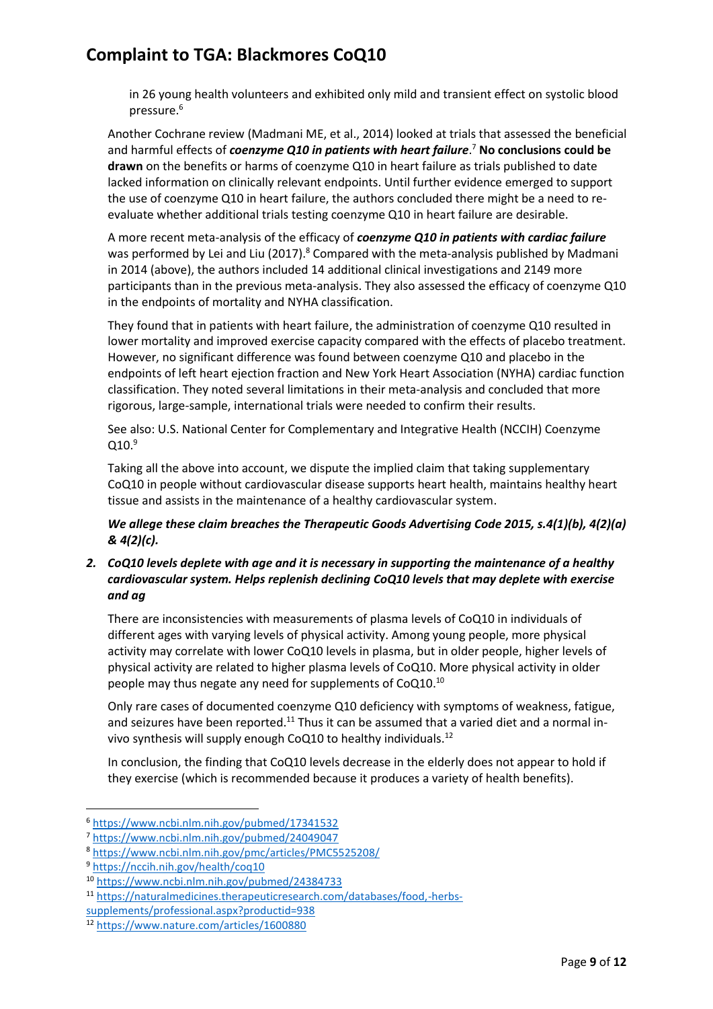in 26 young health volunteers and exhibited only mild and transient effect on systolic blood pressure. 6

Another Cochrane review (Madmani ME, et al., 2014) looked at trials that assessed the beneficial and harmful effects of *coenzyme Q10 in patients with heart failure*. <sup>7</sup> **No conclusions could be drawn** on the benefits or harms of coenzyme Q10 in heart failure as trials published to date lacked information on clinically relevant endpoints. Until further evidence emerged to support the use of coenzyme Q10 in heart failure, the authors concluded there might be a need to reevaluate whether additional trials testing coenzyme Q10 in heart failure are desirable.

A more recent meta-analysis of the efficacy of *coenzyme Q10 in patients with cardiac failure* was performed by Lei and Liu (2017).<sup>8</sup> Compared with the meta-analysis published by Madmani in 2014 (above), the authors included 14 additional clinical investigations and 2149 more participants than in the previous meta-analysis. They also assessed the efficacy of coenzyme Q10 in the endpoints of mortality and NYHA classification.

They found that in patients with heart failure, the administration of coenzyme Q10 resulted in lower mortality and improved exercise capacity compared with the effects of placebo treatment. However, no significant difference was found between coenzyme Q10 and placebo in the endpoints of left heart ejection fraction and New York Heart Association (NYHA) cardiac function classification. They noted several limitations in their meta-analysis and concluded that more rigorous, large-sample, international trials were needed to confirm their results.

See also: U.S. National Center for Complementary and Integrative Health (NCCIH) Coenzyme  $0.10<sup>9</sup>$ 

Taking all the above into account, we dispute the implied claim that taking supplementary CoQ10 in people without cardiovascular disease supports heart health, maintains healthy heart tissue and assists in the maintenance of a healthy cardiovascular system.

*We allege these claim breaches the Therapeutic Goods Advertising Code 2015, s.4(1)(b), 4(2)(a) & 4(2)(c).* 

### *2. CoQ10 levels deplete with age and it is necessary in supporting the maintenance of a healthy cardiovascular system. Helps replenish declining CoQ10 levels that may deplete with exercise and ag*

There are inconsistencies with measurements of plasma levels of CoQ10 in individuals of different ages with varying levels of physical activity. Among young people, more physical activity may correlate with lower CoQ10 levels in plasma, but in older people, higher levels of physical activity are related to higher plasma levels of CoQ10. More physical activity in older people may thus negate any need for supplements of CoQ10.<sup>10</sup>

Only rare cases of documented coenzyme Q10 deficiency with symptoms of weakness, fatigue, and seizures have been reported.<sup>11</sup> Thus it can be assumed that a varied diet and a normal invivo synthesis will supply enough CoQ10 to healthy individuals.<sup>12</sup>

In conclusion, the finding that CoQ10 levels decrease in the elderly does not appear to hold if they exercise (which is recommended because it produces a variety of health benefits).

**.** 

<sup>6</sup> <https://www.ncbi.nlm.nih.gov/pubmed/17341532>

<sup>7</sup> <https://www.ncbi.nlm.nih.gov/pubmed/24049047>

<sup>8</sup> <https://www.ncbi.nlm.nih.gov/pmc/articles/PMC5525208/>

<sup>9</sup> <https://nccih.nih.gov/health/coq10>

<sup>10</sup> <https://www.ncbi.nlm.nih.gov/pubmed/24384733>

<sup>11</sup> [https://naturalmedicines.therapeuticresearch.com/databases/food,-herbs-](https://naturalmedicines.therapeuticresearch.com/databases/food,-herbs-supplements/professional.aspx?productid=938)

[supplements/professional.aspx?productid=938](https://naturalmedicines.therapeuticresearch.com/databases/food,-herbs-supplements/professional.aspx?productid=938)

<sup>12</sup> <https://www.nature.com/articles/1600880>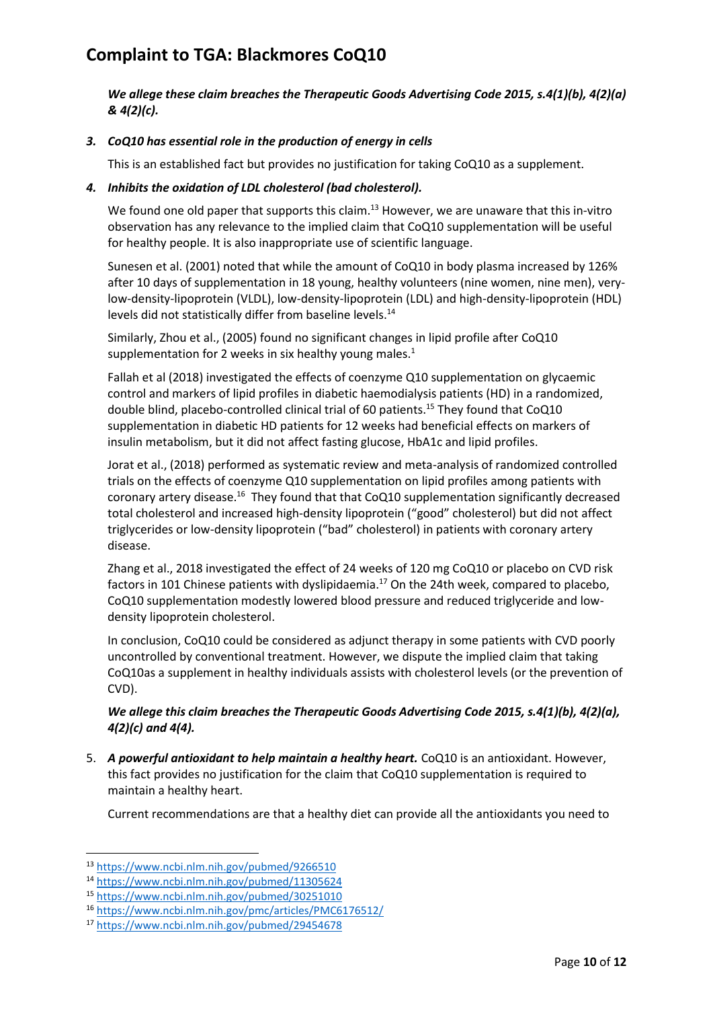*We allege these claim breaches the Therapeutic Goods Advertising Code 2015, s.4(1)(b), 4(2)(a) & 4(2)(c).* 

### *3. CoQ10 has essential role in the production of energy in cells*

This is an established fact but provides no justification for taking CoQ10 as a supplement.

#### *4. Inhibits the oxidation of LDL cholesterol (bad cholesterol).*

We found one old paper that supports this claim.<sup>13</sup> However, we are unaware that this in-vitro observation has any relevance to the implied claim that CoQ10 supplementation will be useful for healthy people. It is also inappropriate use of scientific language.

Sunesen et al. (2001) noted that while the amount of CoQ10 in body plasma increased by 126% after 10 days of supplementation in 18 young, healthy volunteers (nine women, nine men), verylow-density-lipoprotein (VLDL), low-density-lipoprotein (LDL) and high-density-lipoprotein (HDL) levels did not statistically differ from baseline levels.<sup>14</sup>

Similarly, Zhou et al., (2005) found no significant changes in lipid profile after CoQ10 supplementation for 2 weeks in six healthy young males.<sup>1</sup>

Fallah et al (2018) investigated the effects of coenzyme Q10 supplementation on glycaemic control and markers of lipid profiles in diabetic haemodialysis patients (HD) in a randomized, double blind, placebo-controlled clinical trial of 60 patients.<sup>15</sup> They found that CoQ10 supplementation in diabetic HD patients for 12 weeks had beneficial effects on markers of insulin metabolism, but it did not affect fasting glucose, HbA1c and lipid profiles.

Jorat et al., (2018) performed as systematic review and meta-analysis of randomized controlled trials on the effects of coenzyme Q10 supplementation on lipid profiles among patients with coronary artery disease.<sup>16</sup> They found that that CoQ10 supplementation significantly decreased total cholesterol and increased high-density lipoprotein ("good" cholesterol) but did not affect triglycerides or low-density lipoprotein ("bad" cholesterol) in patients with coronary artery disease.

Zhang et al., 2018 investigated the effect of 24 weeks of 120 mg CoQ10 or placebo on CVD risk factors in 101 Chinese patients with dyslipidaemia.<sup>17</sup> On the 24th week, compared to placebo, CoQ10 supplementation modestly lowered blood pressure and reduced triglyceride and lowdensity lipoprotein cholesterol.

In conclusion, CoQ10 could be considered as adjunct therapy in some patients with CVD poorly uncontrolled by conventional treatment. However, we dispute the implied claim that taking CoQ10as a supplement in healthy individuals assists with cholesterol levels (or the prevention of CVD).

### *We allege this claim breaches the Therapeutic Goods Advertising Code 2015, s.4(1)(b), 4(2)(a), 4(2)(c) and 4(4).*

5. *A powerful antioxidant to help maintain a healthy heart.* CoQ10 is an antioxidant. However, this fact provides no justification for the claim that CoQ10 supplementation is required to maintain a healthy heart.

Current recommendations are that a healthy diet can provide all the antioxidants you need to

**.** 

<sup>13</sup> <https://www.ncbi.nlm.nih.gov/pubmed/9266510>

<sup>14</sup> <https://www.ncbi.nlm.nih.gov/pubmed/11305624>

<sup>15</sup> <https://www.ncbi.nlm.nih.gov/pubmed/30251010>

<sup>16</sup> <https://www.ncbi.nlm.nih.gov/pmc/articles/PMC6176512/>

<sup>17</sup> <https://www.ncbi.nlm.nih.gov/pubmed/29454678>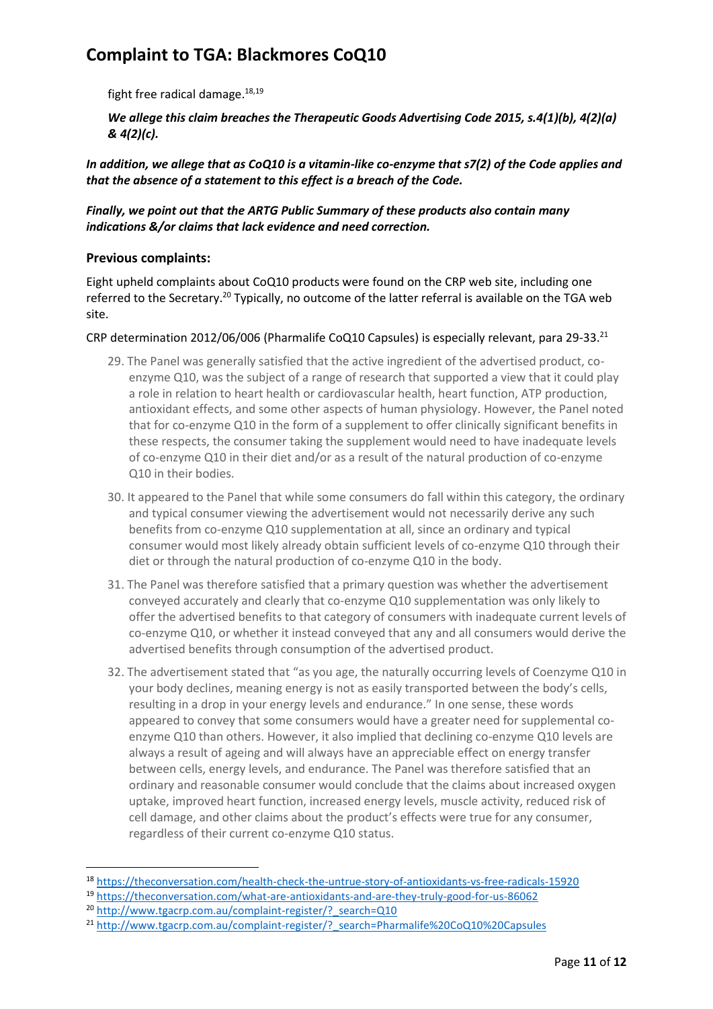fight free radical damage.<sup>18,19</sup>

*We allege this claim breaches the Therapeutic Goods Advertising Code 2015, s.4(1)(b), 4(2)(a) & 4(2)(c).* 

*In addition, we allege that as CoQ10 is a vitamin-like co-enzyme that s7(2) of the Code applies and that the absence of a statement to this effect is a breach of the Code.* 

### *Finally, we point out that the ARTG Public Summary of these products also contain many indications &/or claims that lack evidence and need correction.*

### **Previous complaints:**

Eight upheld complaints about CoQ10 products were found on the CRP web site, including one referred to the Secretary.<sup>20</sup> Typically, no outcome of the latter referral is available on the TGA web site.

#### CRP determination 2012/06/006 (Pharmalife CoQ10 Capsules) is especially relevant, para 29-33.<sup>21</sup>

- 29. The Panel was generally satisfied that the active ingredient of the advertised product, coenzyme Q10, was the subject of a range of research that supported a view that it could play a role in relation to heart health or cardiovascular health, heart function, ATP production, antioxidant effects, and some other aspects of human physiology. However, the Panel noted that for co-enzyme Q10 in the form of a supplement to offer clinically significant benefits in these respects, the consumer taking the supplement would need to have inadequate levels of co-enzyme Q10 in their diet and/or as a result of the natural production of co-enzyme Q10 in their bodies.
- 30. It appeared to the Panel that while some consumers do fall within this category, the ordinary and typical consumer viewing the advertisement would not necessarily derive any such benefits from co-enzyme Q10 supplementation at all, since an ordinary and typical consumer would most likely already obtain sufficient levels of co-enzyme Q10 through their diet or through the natural production of co-enzyme Q10 in the body.
- 31. The Panel was therefore satisfied that a primary question was whether the advertisement conveyed accurately and clearly that co-enzyme Q10 supplementation was only likely to offer the advertised benefits to that category of consumers with inadequate current levels of co-enzyme Q10, or whether it instead conveyed that any and all consumers would derive the advertised benefits through consumption of the advertised product.
- 32. The advertisement stated that "as you age, the naturally occurring levels of Coenzyme Q10 in your body declines, meaning energy is not as easily transported between the body's cells, resulting in a drop in your energy levels and endurance." In one sense, these words appeared to convey that some consumers would have a greater need for supplemental coenzyme Q10 than others. However, it also implied that declining co-enzyme Q10 levels are always a result of ageing and will always have an appreciable effect on energy transfer between cells, energy levels, and endurance. The Panel was therefore satisfied that an ordinary and reasonable consumer would conclude that the claims about increased oxygen uptake, improved heart function, increased energy levels, muscle activity, reduced risk of cell damage, and other claims about the product's effects were true for any consumer, regardless of their current co-enzyme Q10 status.

1

<sup>18</sup> <https://theconversation.com/health-check-the-untrue-story-of-antioxidants-vs-free-radicals-15920>

<sup>19</sup> <https://theconversation.com/what-are-antioxidants-and-are-they-truly-good-for-us-86062>

<sup>&</sup>lt;sup>20</sup> http://www.tgacrp.com.au/complaint-register/? search=Q10

<sup>&</sup>lt;sup>21</sup> http://www.tgacrp.com.au/complaint-register/? search=Pharmalife%20CoQ10%20Capsules